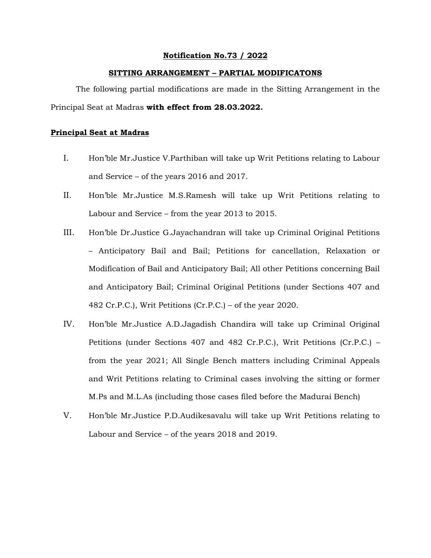## **Notification No.73 / 2022**

## **SITTING ARRANGEMENT – PARTIAL MODIFICATONS**

The following partial modifications are made in the Sitting Arrangement in the Principal Seat at Madras **with effect from 28.03.2022.** 

## **Principal Seat at Madras**

- I. Hon'ble Mr.Justice V.Parthiban will take up Writ Petitions relating to Labour and Service – of the years 2016 and 2017.
- II. Hon'ble Mr.Justice M.S.Ramesh will take up Writ Petitions relating to Labour and Service – from the year 2013 to 2015.
- III. Hon'ble Dr.Justice G.Jayachandran will take up Criminal Original Petitions – Anticipatory Bail and Bail; Petitions for cancellation, Relaxation or Modification of Bail and Anticipatory Bail; All other Petitions concerning Bail and Anticipatory Bail; Criminal Original Petitions (under Sections 407 and 482 Cr.P.C.), Writ Petitions (Cr.P.C.) – of the year 2020.
- IV. Hon'ble Mr.Justice A.D.Jagadish Chandira will take up Criminal Original Petitions (under Sections 407 and 482 Cr.P.C.), Writ Petitions (Cr.P.C.) – from the year 2021; All Single Bench matters including Criminal Appeals and Writ Petitions relating to Criminal cases involving the sitting or former M.Ps and M.L.As (including those cases filed before the Madurai Bench)
- V. Hon'ble Mr.Justice P.D.Audikesavalu will take up Writ Petitions relating to Labour and Service – of the years 2018 and 2019.